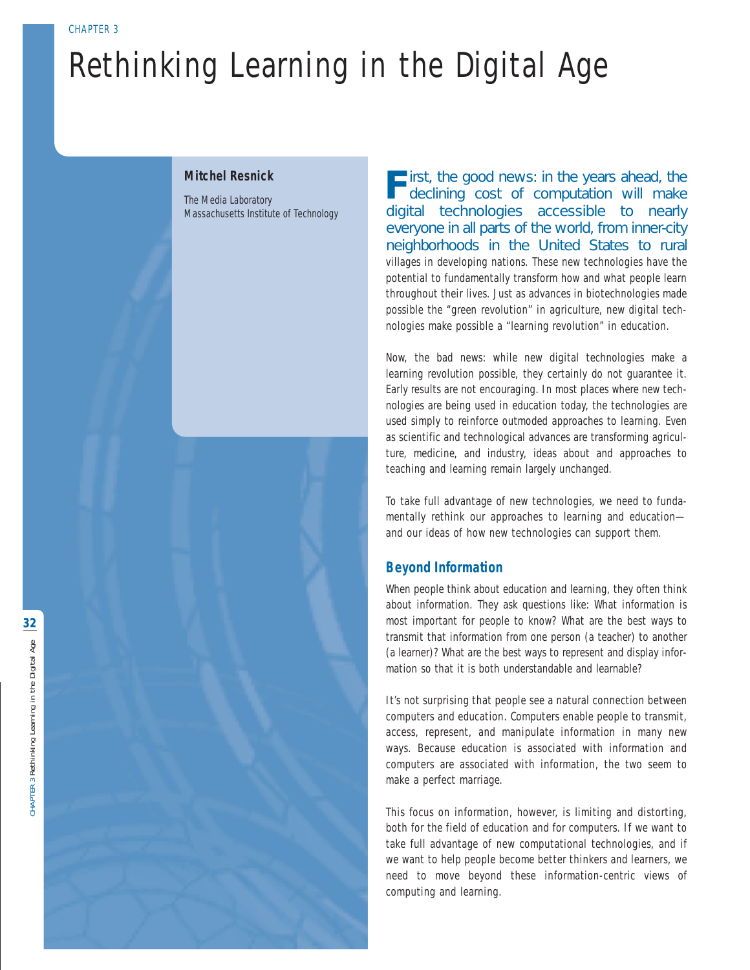# Rethinking Learning in the Digital Age

### **Mitchel Resnick**

The Media Laboratory Massachusetts Institute of Technology **F**irst, the good news: in the years ahead, the declining cost of computation will make digital technologies accessible to nearly everyone in all parts of the world, from inner-city neighborhoods in the United States to rural villages in developing nations. These new technologies have the potential to fundamentally transform how and what people learn throughout their lives. Just as advances in biotechnologies made possible the "green revolution" in agriculture, new digital technologies make possible a "learning revolution" in education.

Now, the bad news: while new digital technologies make a learning revolution possible, they certainly do not guarantee it. Early results are not encouraging. In most places where new technologies are being used in education today, the technologies are used simply to reinforce outmoded approaches to learning. Even as scientific and technological advances are transforming agriculture, medicine, and industry, ideas about and approaches to teaching and learning remain largely unchanged.

To take full advantage of new technologies, we need to fundamentally rethink our approaches to learning and education and our ideas of how new technologies can support them.

# **Beyond Information**

When people think about education and learning, they often think about information. They ask questions like: What information is most important for people to know? What are the best ways to transmit that information from one person (a teacher) to another (a learner)? What are the best ways to represent and display information so that it is both understandable and learnable?

It's not surprising that people see a natural connection between computers and education. Computers enable people to transmit, access, represent, and manipulate information in many new ways. Because education is associated with information and computers are associated with information, the two seem to make a perfect marriage.

This focus on information, however, is limiting and distorting, both for the field of education and for computers. If we want to take full advantage of new computational technologies, and if we want to help people become better thinkers and learners, we need to move beyond these information-centric views of computing and learning.

**32**

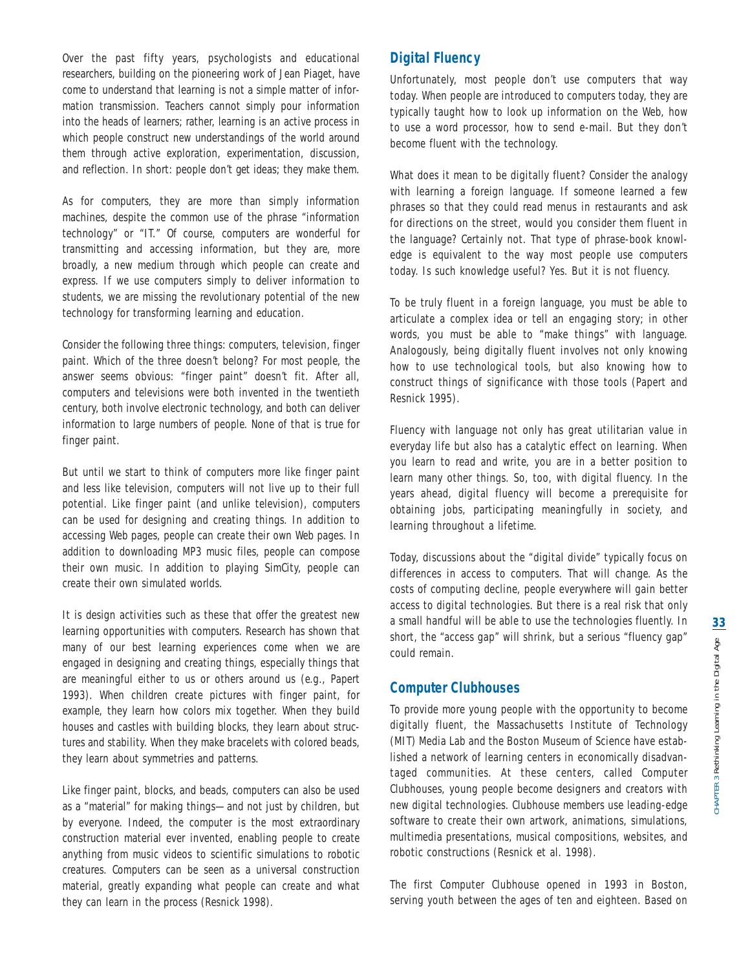Over the past fifty years, psychologists and educational researchers, building on the pioneering work of Jean Piaget, have come to understand that learning is not a simple matter of information transmission. Teachers cannot simply pour information into the heads of learners; rather, learning is an active process in which people construct new understandings of the world around them through active exploration, experimentation, discussion, and reflection. In short: people don't *get* ideas; they *make* them.

As for computers, they are more than simply information machines, despite the common use of the phrase "information technology" or "IT." Of course, computers are wonderful for transmitting and accessing information, but they are, more broadly, a new medium through which people can create and express. If we use computers simply to deliver information to students, we are missing the revolutionary potential of the new technology for transforming learning and education.

Consider the following three things: computers, television, finger paint. Which of the three doesn't belong? For most people, the answer seems obvious: "finger paint" doesn't fit. After all, computers and televisions were both invented in the twentieth century, both involve electronic technology, and both can deliver information to large numbers of people. None of that is true for finger paint.

But until we start to think of computers more like finger paint and less like television, computers will not live up to their full potential. Like finger paint (and unlike television), computers can be used for designing and creating things. In addition to accessing Web pages, people can create their own Web pages. In addition to downloading MP3 music files, people can compose their own music. In addition to playing SimCity, people can create their own simulated worlds.

It is design activities such as these that offer the greatest new learning opportunities with computers. Research has shown that many of our best learning experiences come when we are engaged in designing and creating things, especially things that are meaningful either to us or others around us (e.g., Papert 1993). When children create pictures with finger paint, for example, they learn how colors mix together. When they build houses and castles with building blocks, they learn about structures and stability. When they make bracelets with colored beads, they learn about symmetries and patterns.

Like finger paint, blocks, and beads, computers can also be used as a "material" for making things—and not just by children, but by everyone. Indeed, the computer is the most extraordinary construction material ever invented, enabling people to create anything from music videos to scientific simulations to robotic creatures. Computers can be seen as a universal construction material, greatly expanding what people can create and what they can learn in the process (Resnick 1998).

# **Digital Fluency**

Unfortunately, most people don't use computers that way today. When people are introduced to computers today, they are typically taught how to look up information on the Web, how to use a word processor, how to send e-mail. But they don't become *fluent* with the technology.

What does it mean to be digitally fluent? Consider the analogy with learning a foreign language. If someone learned a few phrases so that they could read menus in restaurants and ask for directions on the street, would you consider them fluent in the language? Certainly not. That type of phrase-book knowledge is equivalent to the way most people use computers today. Is such knowledge useful? Yes. But it is not fluency.

To be truly fluent in a foreign language, you must be able to articulate a complex idea or tell an engaging story; in other words, you must be able to "make things" with language. Analogously, being digitally fluent involves not only knowing how to use technological tools, but also knowing how to construct things of significance with those tools (Papert and Resnick 1995).

Fluency with language not only has great utilitarian value in everyday life but also has a catalytic effect on learning. When you learn to read and write, you are in a better position to learn many other things. So, too, with digital fluency. In the years ahead, digital fluency will become a prerequisite for obtaining jobs, participating meaningfully in society, and learning throughout a lifetime.

Today, discussions about the "digital divide" typically focus on differences in access to computers. That will change. As the costs of computing decline, people everywhere will gain better access to digital technologies. But there is a real risk that only a small handful will be able to use the technologies fluently. In short, the "access gap" will shrink, but a serious "fluency gap" could remain.

# **Computer Clubhouses**

To provide more young people with the opportunity to become digitally fluent, the Massachusetts Institute of Technology (MIT) Media Lab and the Boston Museum of Science have established a network of learning centers in economically disadvantaged communities. At these centers, called Computer Clubhouses, young people become designers and creators with new digital technologies. Clubhouse members use leading-edge software to create their own artwork, animations, simulations, multimedia presentations, musical compositions, websites, and robotic constructions (Resnick et al. 1998).

The first Computer Clubhouse opened in 1993 in Boston, serving youth between the ages of ten and eighteen. Based on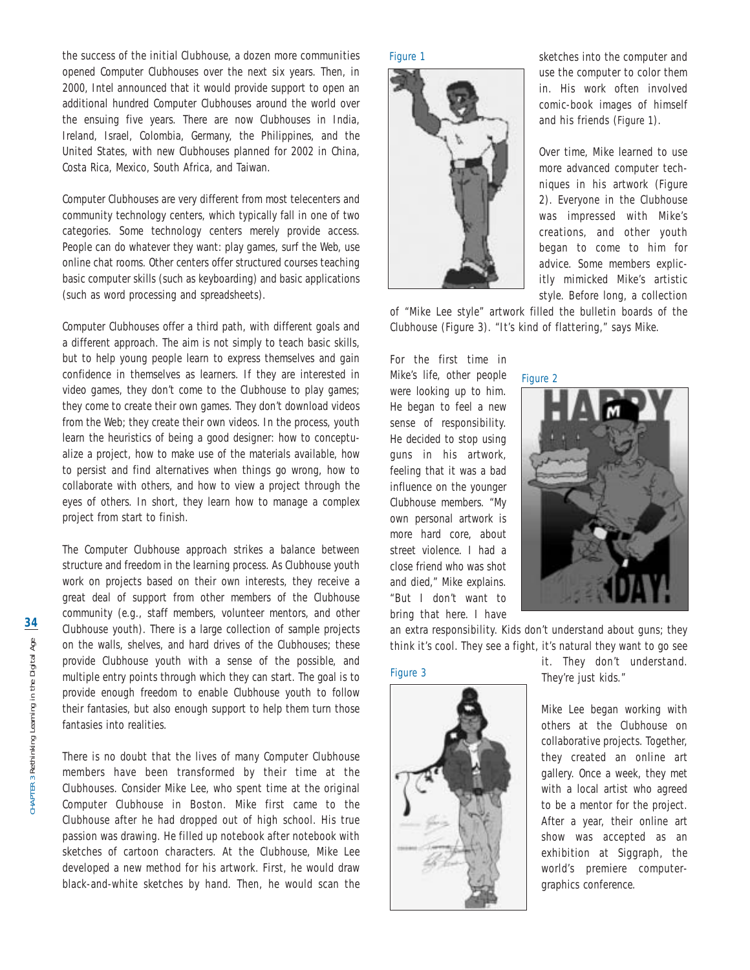the success of the initial Clubhouse, a dozen more communities opened Computer Clubhouses over the next six years. Then, in 2000, Intel announced that it would provide support to open an additional hundred Computer Clubhouses around the world over the ensuing five years. There are now Clubhouses in India, Ireland, Israel, Colombia, Germany, the Philippines, and the United States, with new Clubhouses planned for 2002 in China, Costa Rica, Mexico, South Africa, and Taiwan.

Computer Clubhouses are very different from most telecenters and community technology centers, which typically fall in one of two categories. Some technology centers merely provide access. People can do whatever they want: play games, surf the Web, use online chat rooms. Other centers offer structured courses teaching basic computer skills (such as keyboarding) and basic applications (such as word processing and spreadsheets).

Computer Clubhouses offer a third path, with different goals and a different approach. The aim is not simply to teach basic skills, but to help young people learn to express themselves and gain confidence in themselves as learners. If they are interested in video games, they don't come to the Clubhouse to play games; they come to create their own games. They don't download videos from the Web; they create their own videos. In the process, youth learn the heuristics of being a good designer: how to conceptualize a project, how to make use of the materials available, how to persist and find alternatives when things go wrong, how to collaborate with others, and how to view a project through the eyes of others. In short, they learn how to manage a complex project from start to finish.

The Computer Clubhouse approach strikes a balance between structure and freedom in the learning process. As Clubhouse youth work on projects based on their own interests, they receive a great deal of support from other members of the Clubhouse community (e.g., staff members, volunteer mentors, and other Clubhouse youth). There is a large collection of sample projects on the walls, shelves, and hard drives of the Clubhouses; these provide Clubhouse youth with a sense of the possible, and multiple entry points through which they can start. The goal is to provide enough freedom to enable Clubhouse youth to follow their fantasies, but also enough support to help them turn those fantasies into realities.

There is no doubt that the lives of many Computer Clubhouse members have been transformed by their time at the Clubhouses. Consider Mike Lee, who spent time at the original Computer Clubhouse in Boston. Mike first came to the Clubhouse after he had dropped out of high school. His true passion was drawing. He filled up notebook after notebook with sketches of cartoon characters. At the Clubhouse, Mike Lee developed a new method for his artwork. First, he would draw black-and-white sketches by hand. Then, he would scan the

Figure 1



sketches into the computer and use the computer to color them in. His work often involved comic-book images of himself and his friends (Figure 1).

Over time, Mike learned to use more advanced computer techniques in his artwork (Figure 2). Everyone in the Clubhouse was impressed with Mike's creations, and other youth began to come to him for advice. Some members explicitly mimicked Mike's artistic style. Before long, a collection

of "Mike Lee style" artwork filled the bulletin boards of the Clubhouse (Figure 3). "It's kind of flattering," says Mike.

For the first time in Mike's life, other people were looking up to him. He began to feel a new sense of responsibility. He decided to stop using guns in his artwork, feeling that it was a bad influence on the younger Clubhouse members. "My own personal artwork is more hard core, about street violence. I had a close friend who was shot and died," Mike explains. "But I don't want to bring that here. I have



an extra responsibility. Kids don't understand about guns; they think it's cool. They see a fight, it's natural they want to go see

### Figure 3



it. They don't understand. They're just kids."

Mike Lee began working with others at the Clubhouse on collaborative projects. Together, they created an online art gallery. Once a week, they met with a local artist who agreed to be a mentor for the project. After a year, their online art show was accepted as an exhibition at Siggraph, the world's premiere computergraphics conference.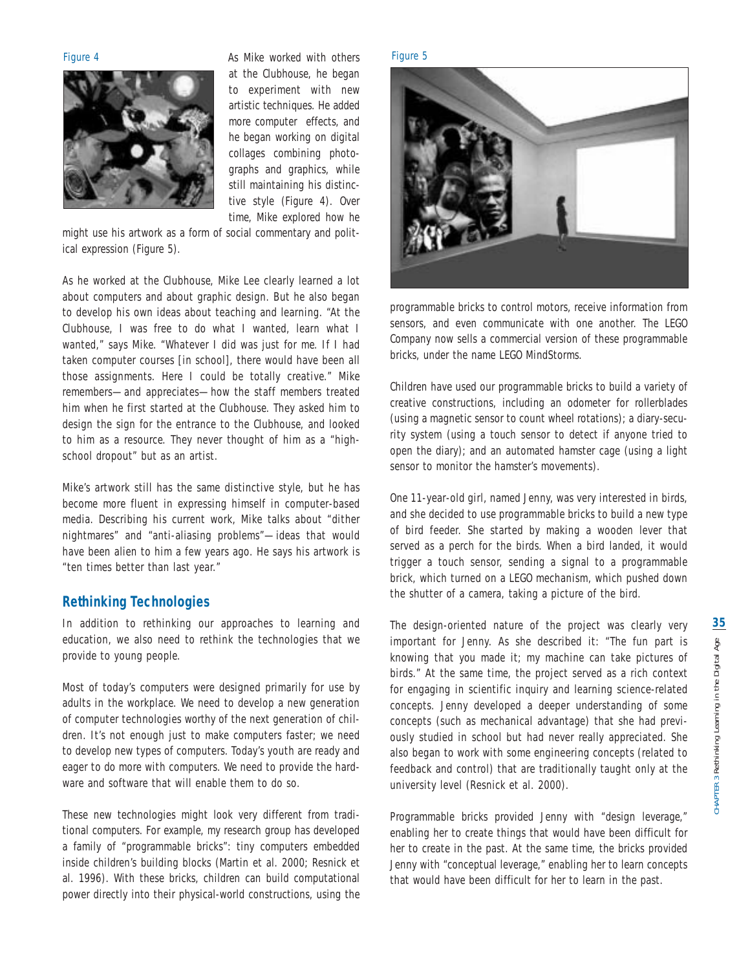

Figure 4 **As Mike worked with others** Figure 5 at the Clubhouse, he began to experiment with new artistic techniques. He added more computer effects, and he began working on digital collages combining photographs and graphics, while still maintaining his distinctive style (Figure 4). Over time, Mike explored how he

might use his artwork as a form of social commentary and political expression (Figure 5).

As he worked at the Clubhouse, Mike Lee clearly learned a lot about computers and about graphic design. But he also began to develop his own ideas about teaching and learning. "At the Clubhouse, I was free to do what I wanted, learn what I wanted," says Mike. "Whatever I did was just for me. If I had taken computer courses [in school], there would have been all those assignments. Here I could be totally creative." Mike remembers—and appreciates—how the staff members treated him when he first started at the Clubhouse. They asked him to design the sign for the entrance to the Clubhouse, and looked to him as a resource. They never thought of him as a "highschool dropout" but as an artist.

Mike's artwork still has the same distinctive style, but he has become more fluent in expressing himself in computer-based media. Describing his current work, Mike talks about "dither nightmares" and "anti-aliasing problems"—ideas that would have been alien to him a few years ago. He says his artwork is "ten times better than last year."

# **Rethinking Technologies**

In addition to rethinking our approaches to learning and education, we also need to rethink the technologies that we provide to young people.

Most of today's computers were designed primarily for use by adults in the workplace. We need to develop a new generation of computer technologies *worthy* of the next generation of children. It's not enough just to make computers faster; we need to develop new types of computers. Today's youth are ready and eager to do more with computers. We need to provide the hardware and software that will enable them to do so.

These new technologies might look very different from traditional computers. For example, my research group has developed a family of "programmable bricks": tiny computers embedded inside children's building blocks (Martin et al. 2000; Resnick et al. 1996). With these bricks, children can build computational power directly into their physical-world constructions, using the



programmable bricks to control motors, receive information from sensors, and even communicate with one another. The LEGO Company now sells a commercial version of these programmable bricks, under the name LEGO MindStorms.

Children have used our programmable bricks to build a variety of creative constructions, including an odometer for rollerblades (using a magnetic sensor to count wheel rotations); a diary-security system (using a touch sensor to detect if anyone tried to open the diary); and an automated hamster cage (using a light sensor to monitor the hamster's movements).

One 11-year-old girl, named Jenny, was very interested in birds, and she decided to use programmable bricks to build a new type of bird feeder. She started by making a wooden lever that served as a perch for the birds. When a bird landed, it would trigger a touch sensor, sending a signal to a programmable brick, which turned on a LEGO mechanism, which pushed down the shutter of a camera, taking a picture of the bird.

The design-oriented nature of the project was clearly very important for Jenny. As she described it: "The fun part is knowing that *you* made it; *my* machine can take pictures of birds." At the same time, the project served as a rich context for engaging in scientific inquiry and learning science-related concepts. Jenny developed a deeper understanding of some concepts (such as mechanical advantage) that she had previously studied in school but had never really appreciated. She also began to work with some engineering concepts (related to feedback and control) that are traditionally taught only at the university level (Resnick et al. 2000).

Programmable bricks provided Jenny with "design leverage," enabling her to create things that would have been difficult for her to create in the past. At the same time, the bricks provided Jenny with "conceptual leverage," enabling her to learn concepts that would have been difficult for her to learn in the past.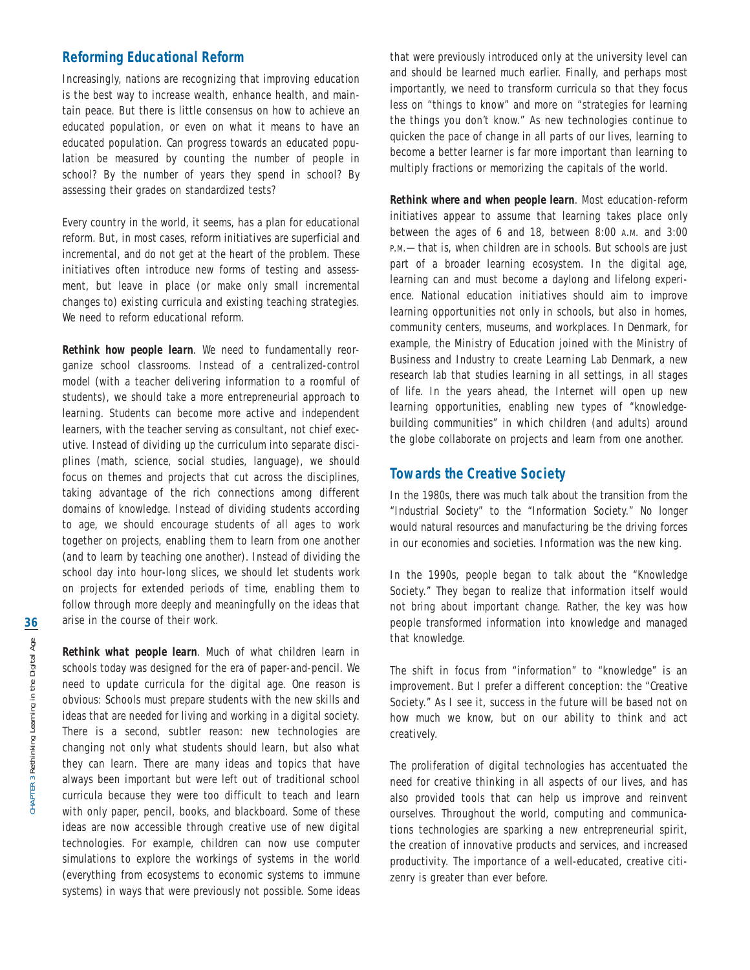# **Reforming Educational Reform**

Increasingly, nations are recognizing that improving education is the best way to increase wealth, enhance health, and maintain peace. But there is little consensus on how to achieve an educated population, or even on what it means to have an educated population. Can progress towards an educated population be measured by counting the number of people in school? By the number of years they spend in school? By assessing their grades on standardized tests?

Every country in the world, it seems, has a plan for educational reform. But, in most cases, reform initiatives are superficial and incremental, and do not get at the heart of the problem. These initiatives often introduce new forms of testing and assessment, but leave in place (or make only small incremental changes to) existing curricula and existing teaching strategies. We need to reform educational reform.

*Rethink how people learn*. We need to fundamentally reorganize school classrooms. Instead of a centralized-control model (with a teacher delivering information to a roomful of students), we should take a more entrepreneurial approach to learning. Students can become more active and independent learners, with the teacher serving as consultant, not chief executive. Instead of dividing up the curriculum into separate disciplines (math, science, social studies, language), we should focus on themes and projects that cut across the disciplines, taking advantage of the rich connections among different domains of knowledge. Instead of dividing students according to age, we should encourage students of all ages to work together on projects, enabling them to learn from one another (and to learn by teaching one another). Instead of dividing the school day into hour-long slices, we should let students work on projects for extended periods of time, enabling them to follow through more deeply and meaningfully on the ideas that arise in the course of their work.

*Rethink what people learn*. Much of what children learn in schools today was designed for the era of paper-and-pencil. We need to update curricula for the digital age. One reason is obvious: Schools must prepare students with the new skills and ideas that are needed for living and working in a digital society. There is a second, subtler reason: new technologies are changing not only what students *should* learn, but also what they *can* learn. There are many ideas and topics that have always been important but were left out of traditional school curricula because they were too difficult to teach and learn with only paper, pencil, books, and blackboard. Some of these ideas are now accessible through creative use of new digital technologies. For example, children can now use computer simulations to explore the workings of systems in the world (everything from ecosystems to economic systems to immune systems) in ways that were previously not possible. Some ideas that were previously introduced only at the university level can and should be learned much earlier. Finally, and perhaps most importantly, we need to transform curricula so that they focus less on "things to know" and more on "strategies for learning the things you don't know." As new technologies continue to quicken the pace of change in all parts of our lives, learning to become a better learner is far more important than learning to multiply fractions or memorizing the capitals of the world.

*Rethink where and when people learn*. Most education-reform initiatives appear to assume that learning takes place only between the ages of 6 and 18, between 8:00 A.M. and 3:00 P.M. - that is, when children are in schools. But schools are just part of a broader learning ecosystem. In the digital age, learning can and must become a daylong and lifelong experience. National education initiatives should aim to improve learning opportunities not only in schools, but also in homes, community centers, museums, and workplaces. In Denmark, for example, the Ministry of Education joined with the Ministry of Business and Industry to create Learning Lab Denmark, a new research lab that studies learning in all settings, in all stages of life. In the years ahead, the Internet will open up new learning opportunities, enabling new types of "knowledgebuilding communities" in which children (and adults) around the globe collaborate on projects and learn from one another.

### **Towards the Creative Society**

In the 1980s, there was much talk about the transition from the "Industrial Society" to the "Information Society." No longer would natural resources and manufacturing be the driving forces in our economies and societies. Information was the new king.

In the 1990s, people began to talk about the "Knowledge Society." They began to realize that information itself would not bring about important change. Rather, the key was how people transformed information into knowledge and managed that knowledge.

The shift in focus from "information" to "knowledge" is an improvement. But I prefer a different conception: the "Creative Society." As I see it, success in the future will be based not on how much we know, but on our ability to think and act creatively.

The proliferation of digital technologies has accentuated the need for creative thinking in all aspects of our lives, and has also provided tools that can help us improve and reinvent ourselves. Throughout the world, computing and communications technologies are sparking a new entrepreneurial spirit, the creation of innovative products and services, and increased productivity. The importance of a well-educated, creative citizenry is greater than ever before.